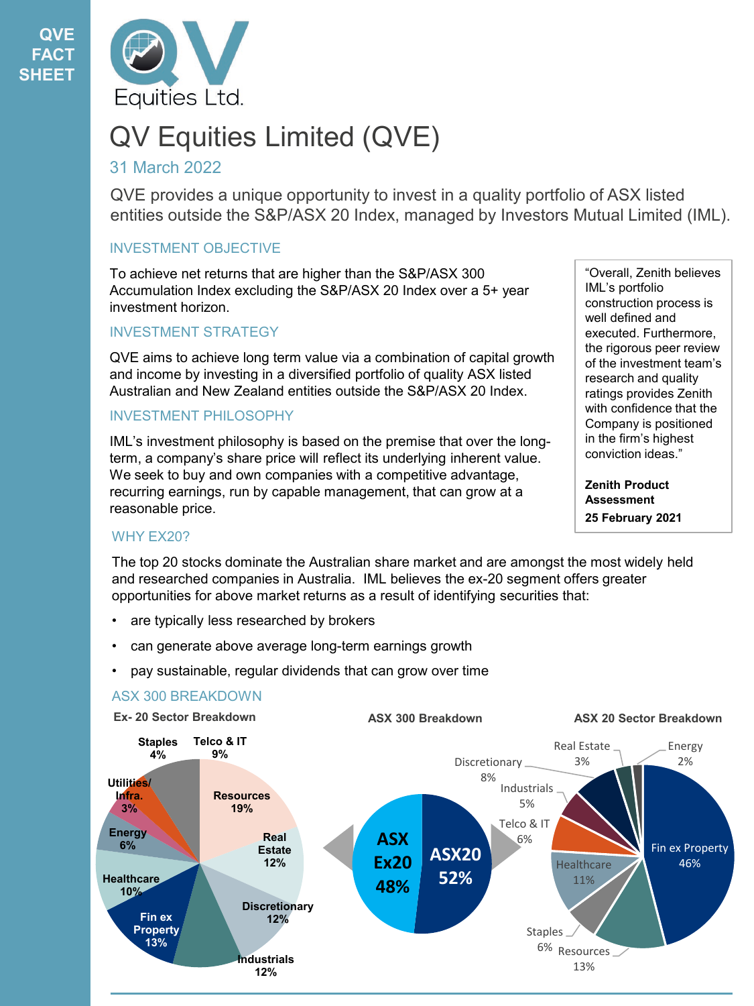

# QV Equities Limited (QVE)

### 31 March 2022

QVE provides a unique opportunity to invest in a quality portfolio of ASX listed entities outside the S&P/ASX 20 Index, managed by Investors Mutual Limited (IML).

### INVESTMENT OBJECTIVE

To achieve net returns that are higher than the S&P/ASX 300 Accumulation Index excluding the S&P/ASX 20 Index over a 5+ year investment horizon.

#### INVESTMENT STRATEGY

QVE aims to achieve long term value via a combination of capital growth and income by investing in a diversified portfolio of quality ASX listed Australian and New Zealand entities outside the S&P/ASX 20 Index.

#### INVESTMENT PHILOSOPHY

IML's investment philosophy is based on the premise that over the longterm, a company's share price will reflect its underlying inherent value. We seek to buy and own companies with a competitive advantage, recurring earnings, run by capable management, that can grow at a reasonable price.

"Overall, Zenith believes IML's portfolio construction process is well defined and executed. Furthermore, the rigorous peer review of the investment team's research and quality ratings provides Zenith with confidence that the Company is positioned in the firm's highest conviction ideas."

**Zenith Product Assessment 25 February 2021**

#### WHY EX20?

The top 20 stocks dominate the Australian share market and are amongst the most widely held and researched companies in Australia. IML believes the ex-20 segment offers greater opportunities for above market returns as a result of identifying securities that:

- are typically less researched by brokers
- can generate above average long-term earnings growth
- pay sustainable, regular dividends that can grow over time



#### ASX 300 BREAKDOWN